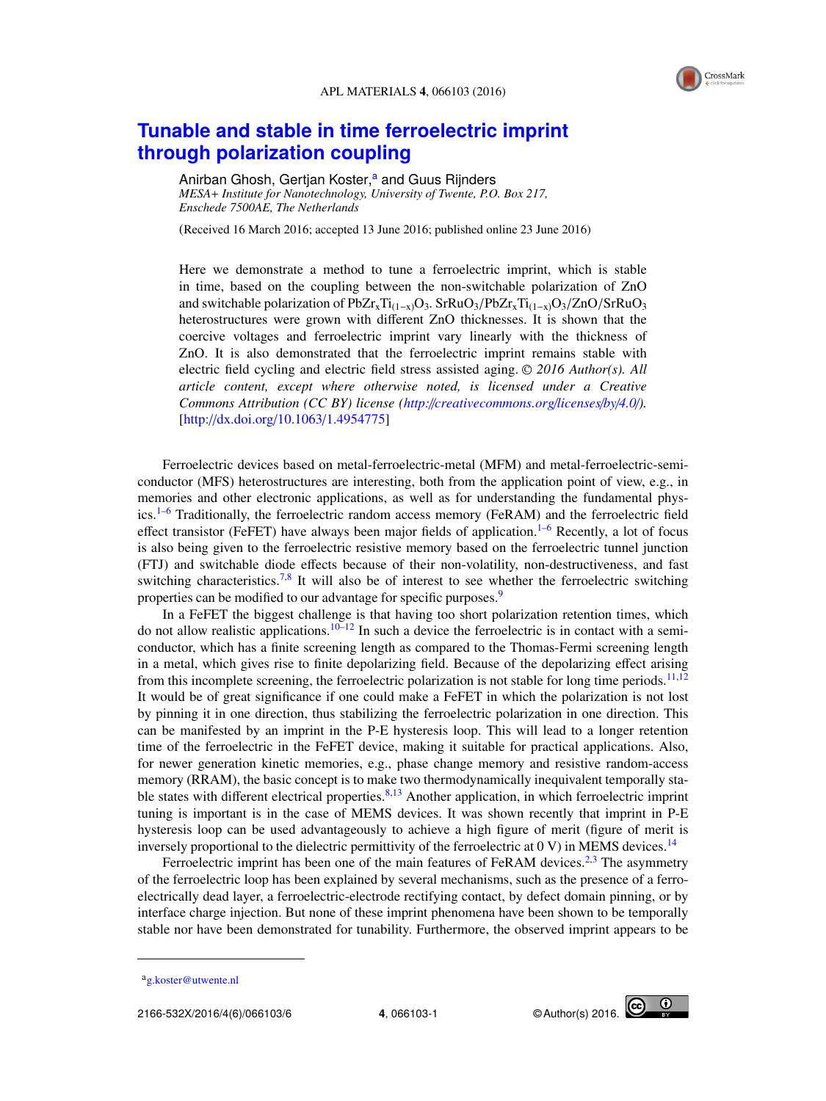

## **Tunable and stable in time ferroelectric imprint through polarization coupling**

Anirban Ghosh, Gertjan Koster,<sup>a</sup> and Guus Rijnders *MESA*+ *Institute for Nanotechnology, University of Twente, P.O. Box 217, Enschede 7500AE, The Netherlands*

(Received 16 March 2016; accepted 13 June 2016; published online 23 June 2016)

Here we demonstrate a method to tune a ferroelectric imprint, which is stable in time, based on the coupling between the non-switchable polarization of ZnO and switchable polarization of PbZr<sub>x</sub>Ti<sub>(1-x)</sub>O<sub>3</sub>. SrRuO<sub>3</sub>/PbZr<sub>x</sub>Ti<sub>(1-x)</sub>O<sub>3</sub>/ZnO/SrRuO<sub>3</sub> heterostructures were grown with different ZnO thicknesses. It is shown that the coercive voltages and ferroelectric imprint vary linearly with the thickness of ZnO. It is also demonstrated that the ferroelectric imprint remains stable with electric field cycling and electric field stress assisted aging. © 2016 Author(s). All *article content, except where otherwise noted, is licensed under a Creative Commons Attribution (CC BY) license (http:*//*creativecommons.org*/*licenses*/*by*/*4.0*/*).* [http://dx.doi.org/10.1063/1.4954775]

Ferroelectric devices based on metal-ferroelectric-metal (MFM) and metal-ferroelectric-semiconductor (MFS) heterostructures are interesting, both from the application point of view, e.g., in memories and other electronic applications, as well as for understanding the fundamental physics.<sup>1–6</sup> Traditionally, the ferroelectric random access memory (FeRAM) and the ferroelectric field effect transistor (FeFET) have always been major fields of application.<sup>1–6</sup> Recently, a lot of focus is also being given to the ferroelectric resistive memory based on the ferroelectric tunnel junction (FTJ) and switchable diode effects because of their non-volatility, non-destructiveness, and fast switching characteristics.<sup>7,8</sup> It will also be of interest to see whether the ferroelectric switching properties can be modified to our advantage for specific purposes.<sup>9</sup>

In a FeFET the biggest challenge is that having too short polarization retention times, which do not allow realistic applications.<sup>10–12</sup> In such a device the ferroelectric is in contact with a semiconductor, which has a finite screening length as compared to the Thomas-Fermi screening length in a metal, which gives rise to finite depolarizing field. Because of the depolarizing effect arising from this incomplete screening, the ferroelectric polarization is not stable for long time periods.<sup>11,12</sup> It would be of great significance if one could make a FeFET in which the polarization is not lost by pinning it in one direction, thus stabilizing the ferroelectric polarization in one direction. This can be manifested by an imprint in the P-E hysteresis loop. This will lead to a longer retention time of the ferroelectric in the FeFET device, making it suitable for practical applications. Also, for newer generation kinetic memories, e.g., phase change memory and resistive random-access memory (RRAM), the basic concept is to make two thermodynamically inequivalent temporally stable states with different electrical properties.<sup>8,13</sup> Another application, in which ferroelectric imprint tuning is important is in the case of MEMS devices. It was shown recently that imprint in P-E hysteresis loop can be used advantageously to achieve a high figure of merit (figure of merit is inversely proportional to the dielectric permittivity of the ferroelectric at  $0 \text{ V}$ ) in MEMS devices.<sup>14</sup>

Ferroelectric imprint has been one of the main features of FeRAM devices.<sup>2,3</sup> The asymmetry of the ferroelectric loop has been explained by several mechanisms, such as the presence of a ferroelectrically dead layer, a ferroelectric-electrode rectifying contact, by defect domain pinning, or by interface charge injection. But none of these imprint phenomena have been shown to be temporally stable nor have been demonstrated for tunability. Furthermore, the observed imprint appears to be

 $\odot$ 

<sup>a</sup>g.koster@utwente.nl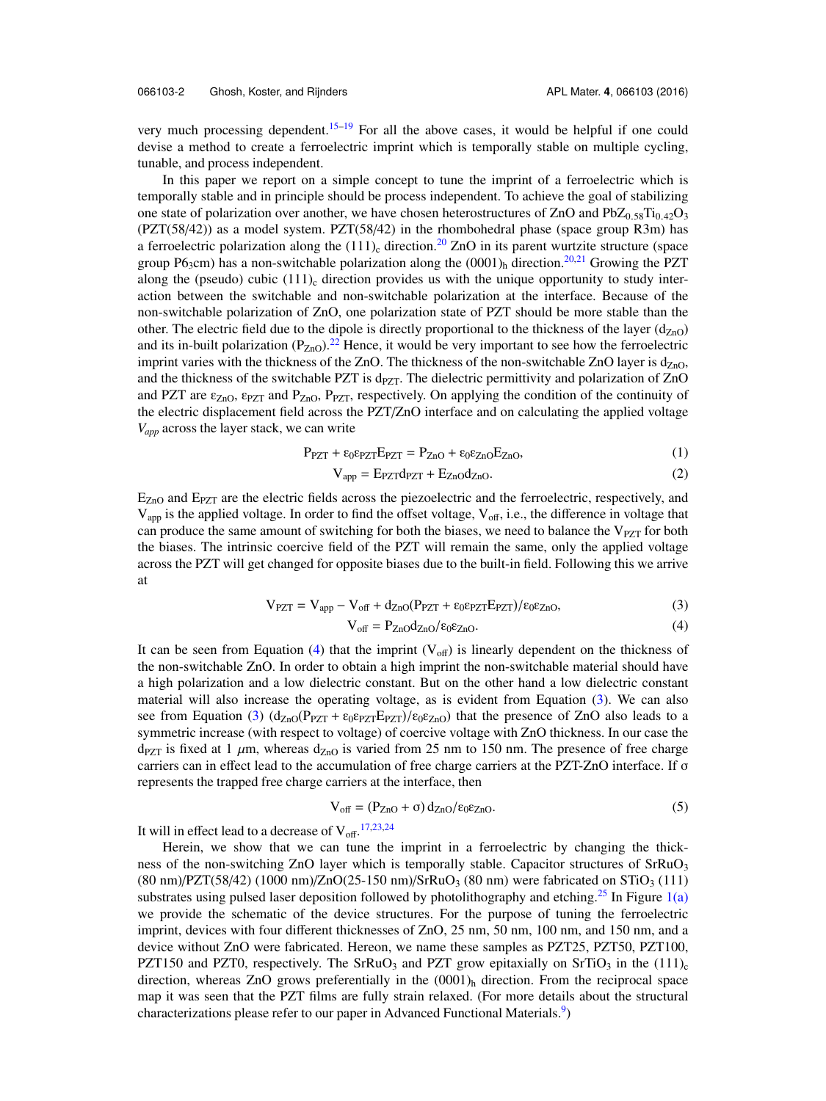very much processing dependent.<sup>15–19</sup> For all the above cases, it would be helpful if one could devise a method to create a ferroelectric imprint which is temporally stable on multiple cycling, tunable, and process independent.

In this paper we report on a simple concept to tune the imprint of a ferroelectric which is temporally stable and in principle should be process independent. To achieve the goal of stabilizing one state of polarization over another, we have chosen heterostructures of ZnO and  $PbZ<sub>0.58</sub>Ti<sub>0.42</sub>O<sub>3</sub>$  $(PZT(58/42))$  as a model system.  $PZT(58/42)$  in the rhombohedral phase (space group R3m) has a ferroelectric polarization along the  $(111)$ <sub>c</sub> direction.<sup>20</sup> ZnO in its parent wurtzite structure (space group P6<sub>3</sub>cm) has a non-switchable polarization along the  $(0001)$ <sub>h</sub> direction.<sup>20,21</sup> Growing the PZT along the (pseudo) cubic  $(111)$ <sub>c</sub> direction provides us with the unique opportunity to study interaction between the switchable and non-switchable polarization at the interface. Because of the non-switchable polarization of ZnO, one polarization state of PZT should be more stable than the other. The electric field due to the dipole is directly proportional to the thickness of the layer  $(d_{ZnO})$ and its in-built polarization  $(P_{ZnO})$ .<sup>22</sup> Hence, it would be very important to see how the ferroelectric imprint varies with the thickness of the ZnO. The thickness of the non-switchable ZnO layer is  $d_{ZnO}$ , and the thickness of the switchable PZT is d<sub>PZT</sub>. The dielectric permittivity and polarization of ZnO and PZT are  $\varepsilon_{ZnO}$ ,  $\varepsilon_{PZT}$  and P<sub>ZnO</sub>, P<sub>PZT</sub>, respectively. On applying the condition of the continuity of the electric displacement field across the PZT/ZnO interface and on calculating the applied voltage *Vapp* across the layer stack, we can write

$$
P_{PZT} + \varepsilon_0 \varepsilon_{PZT} E_{PZT} = P_{ZnO} + \varepsilon_0 \varepsilon_{ZnO} E_{ZnO},\tag{1}
$$

$$
V_{app} = E_{PZT}d_{PZT} + E_{ZnO}d_{ZnO}.
$$
 (2)

 $E_{ZnO}$  and  $E_{PZT}$  are the electric fields across the piezoelectric and the ferroelectric, respectively, and  $V_{app}$  is the applied voltage. In order to find the offset voltage,  $V_{off}$ , i.e., the difference in voltage that can produce the same amount of switching for both the biases, we need to balance the  $V_{PZT}$  for both the biases. The intrinsic coercive field of the PZT will remain the same, only the applied voltage across the PZT will get changed for opposite biases due to the built-in field. Following this we arrive at

$$
V_{PZT} = V_{app} - V_{off} + d_{ZnO}(P_{PZT} + \varepsilon_0 \varepsilon_{PZT} E_{PZT}) / \varepsilon_0 \varepsilon_{ZnO},
$$
\n(3)

$$
V_{off} = P_{ZnO}d_{ZnO}/\epsilon_0 \epsilon_{ZnO}.
$$
\n(4)

It can be seen from Equation (4) that the imprint  $(V_{\text{off}})$  is linearly dependent on the thickness of the non-switchable ZnO. In order to obtain a high imprint the non-switchable material should have a high polarization and a low dielectric constant. But on the other hand a low dielectric constant material will also increase the operating voltage, as is evident from Equation (3). We can also see from Equation (3)  $(d_{ZnO}(P_{PZT} + \varepsilon_0 \varepsilon_{PZT}E_{PZT})/\varepsilon_0 \varepsilon_{ZnO})$  that the presence of ZnO also leads to a symmetric increase (with respect to voltage) of coercive voltage with ZnO thickness. In our case the  $d_{PZT}$  is fixed at 1  $\mu$ m, whereas  $d_{ZnO}$  is varied from 25 nm to 150 nm. The presence of free charge carriers can in effect lead to the accumulation of free charge carriers at the PZT-ZnO interface. If σ represents the trapped free charge carriers at the interface, then

$$
V_{off} = (P_{ZnO} + \sigma) d_{ZnO} / \varepsilon_0 \varepsilon_{ZnO}.
$$
 (5)

It will in effect lead to a decrease of  $V_{\text{off}}$ .  $^{17,23,24}$ 

Herein, we show that we can tune the imprint in a ferroelectric by changing the thickness of the non-switching ZnO layer which is temporally stable. Capacitor structures of  $SFRuO<sub>3</sub>$  $(80 \text{ nm})/PZT(58/42)$  (1000 nm)/ZnO(25-150 nm)/SrRuO<sub>3</sub> (80 nm) were fabricated on STiO<sub>3</sub> (111) substrates using pulsed laser deposition followed by photolithography and etching.<sup>25</sup> In Figure  $1(a)$ we provide the schematic of the device structures. For the purpose of tuning the ferroelectric imprint, devices with four different thicknesses of ZnO, 25 nm, 50 nm, 100 nm, and 150 nm, and a device without ZnO were fabricated. Hereon, we name these samples as PZT25, PZT50, PZT100, PZT150 and PZT0, respectively. The SrRuO<sub>3</sub> and PZT grow epitaxially on SrTiO<sub>3</sub> in the  $(111)<sub>c</sub>$ direction, whereas ZnO grows preferentially in the  $(0001)$ <sub>h</sub> direction. From the reciprocal space map it was seen that the PZT films are fully strain relaxed. (For more details about the structural characterizations please refer to our paper in Advanced Functional Materials.<sup>9</sup>)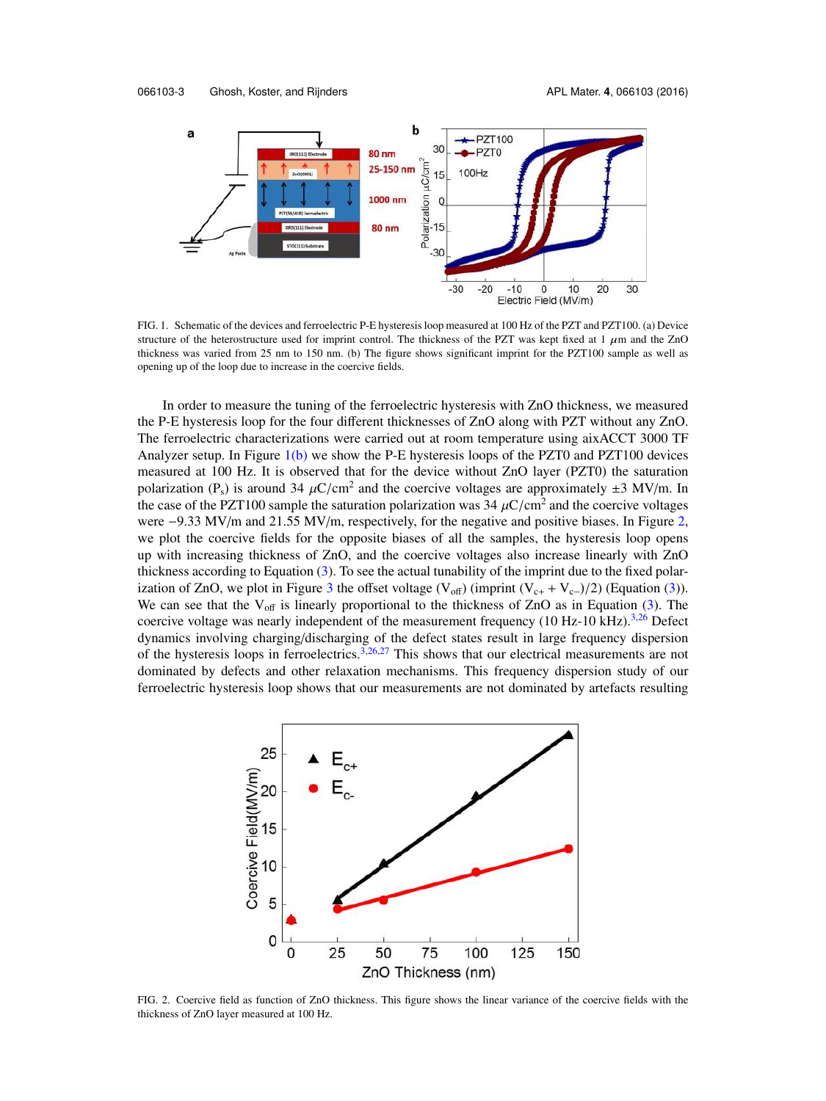

FIG. 1. Schematic of the devices and ferroelectric P-E hysteresis loop measured at 100 Hz of the PZT and PZT100. (a) Device structure of the heterostructure used for imprint control. The thickness of the PZT was kept fixed at  $1 \mu$ m and the ZnO thickness was varied from 25 nm to 150 nm. (b) The figure shows significant imprint for the PZT100 sample as well as opening up of the loop due to increase in the coercive fields.

In order to measure the tuning of the ferroelectric hysteresis with ZnO thickness, we measured the P-E hysteresis loop for the four different thicknesses of ZnO along with PZT without any ZnO. The ferroelectric characterizations were carried out at room temperature using aixACCT 3000 TF Analyzer setup. In Figure  $1(b)$  we show the P-E hysteresis loops of the PZT0 and PZT100 devices measured at 100 Hz. It is observed that for the device without ZnO layer (PZT0) the saturation polarization (P<sub>s</sub>) is around 34  $\mu$ C/cm<sup>2</sup> and the coercive voltages are approximately  $\pm$ 3 MV/m. In the case of the PZT100 sample the saturation polarization was 34  $\mu$ C/cm<sup>2</sup> and the coercive voltages were −9.33 MV/m and 21.55 MV/m, respectively, for the negative and positive biases. In Figure 2, we plot the coercive fields for the opposite biases of all the samples, the hysteresis loop opens up with increasing thickness of ZnO, and the coercive voltages also increase linearly with ZnO thickness according to Equation (3). To see the actual tunability of the imprint due to the fixed polarization of ZnO, we plot in Figure 3 the offset voltage (V<sub>off</sub>) (imprint (V<sub>c+</sub> + V<sub>c−</sub>)/2) (Equation (3)). We can see that the  $V_{off}$  is linearly proportional to the thickness of ZnO as in Equation (3). The coercive voltage was nearly independent of the measurement frequency  $(10 \text{ Hz}-10 \text{ kHz})$ .<sup>3,26</sup> Defect dynamics involving charging/discharging of the defect states result in large frequency dispersion of the hysteresis loops in ferroelectrics.  $3,26,27$  This shows that our electrical measurements are not dominated by defects and other relaxation mechanisms. This frequency dispersion study of our ferroelectric hysteresis loop shows that our measurements are not dominated by artefacts resulting



FIG. 2. Coercive field as function of ZnO thickness. This figure shows the linear variance of the coercive fields with the thickness of ZnO layer measured at 100 Hz.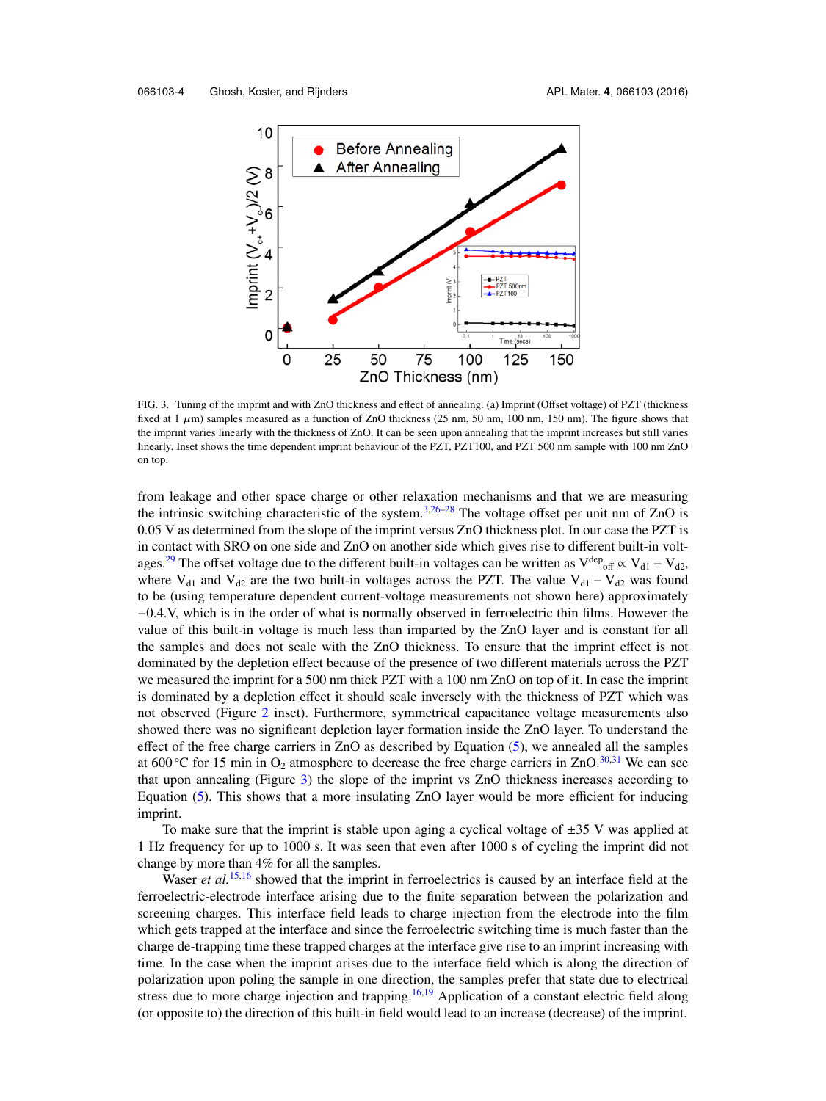

FIG. 3. Tuning of the imprint and with ZnO thickness and effect of annealing. (a) Imprint (Offset voltage) of PZT (thickness fixed at  $1 \mu$ m) samples measured as a function of ZnO thickness (25 nm, 50 nm, 100 nm, 150 nm). The figure shows that the imprint varies linearly with the thickness of ZnO. It can be seen upon annealing that the imprint increases but still varies linearly. Inset shows the time dependent imprint behaviour of the PZT, PZT100, and PZT 500 nm sample with 100 nm ZnO on top.

from leakage and other space charge or other relaxation mechanisms and that we are measuring the intrinsic switching characteristic of the system.3,26–28 The voltage offset per unit nm of ZnO is 0.05 V as determined from the slope of the imprint versus ZnO thickness plot. In our case the PZT is in contact with SRO on one side and ZnO on another side which gives rise to different built-in voltages.<sup>29</sup> The offset voltage due to the different built-in voltages can be written as  $V^{dep}{}_{off} \propto V_{d1} - V_{d2}$ , where V<sub>d1</sub> and V<sub>d2</sub> are the two built-in voltages across the PZT. The value V<sub>d1</sub> – V<sub>d2</sub> was found to be (using temperature dependent current-voltage measurements not shown here) approximately −0.4.V, which is in the order of what is normally observed in ferroelectric thin films. However the value of this built-in voltage is much less than imparted by the ZnO layer and is constant for all the samples and does not scale with the ZnO thickness. To ensure that the imprint effect is not dominated by the depletion effect because of the presence of two different materials across the PZT we measured the imprint for a 500 nm thick PZT with a 100 nm ZnO on top of it. In case the imprint is dominated by a depletion effect it should scale inversely with the thickness of PZT which was not observed (Figure 2 inset). Furthermore, symmetrical capacitance voltage measurements also showed there was no significant depletion layer formation inside the ZnO layer. To understand the effect of the free charge carriers in ZnO as described by Equation (5), we annealed all the samples at 600 °C for 15 min in  $O_2$  atmosphere to decrease the free charge carriers in ZnO.<sup>30,31</sup> We can see that upon annealing (Figure 3) the slope of the imprint vs ZnO thickness increases according to Equation (5). This shows that a more insulating ZnO layer would be more efficient for inducing imprint.

To make sure that the imprint is stable upon aging a cyclical voltage of  $\pm 35$  V was applied at 1 Hz frequency for up to 1000 s. It was seen that even after 1000 s of cycling the imprint did not change by more than 4% for all the samples.

Waser *et al.*<sup>15,16</sup> showed that the imprint in ferroelectrics is caused by an interface field at the ferroelectric-electrode interface arising due to the finite separation between the polarization and screening charges. This interface field leads to charge injection from the electrode into the film which gets trapped at the interface and since the ferroelectric switching time is much faster than the charge de-trapping time these trapped charges at the interface give rise to an imprint increasing with time. In the case when the imprint arises due to the interface field which is along the direction of polarization upon poling the sample in one direction, the samples prefer that state due to electrical stress due to more charge injection and trapping.<sup>16,19</sup> Application of a constant electric field along (or opposite to) the direction of this built-in field would lead to an increase (decrease) of the imprint.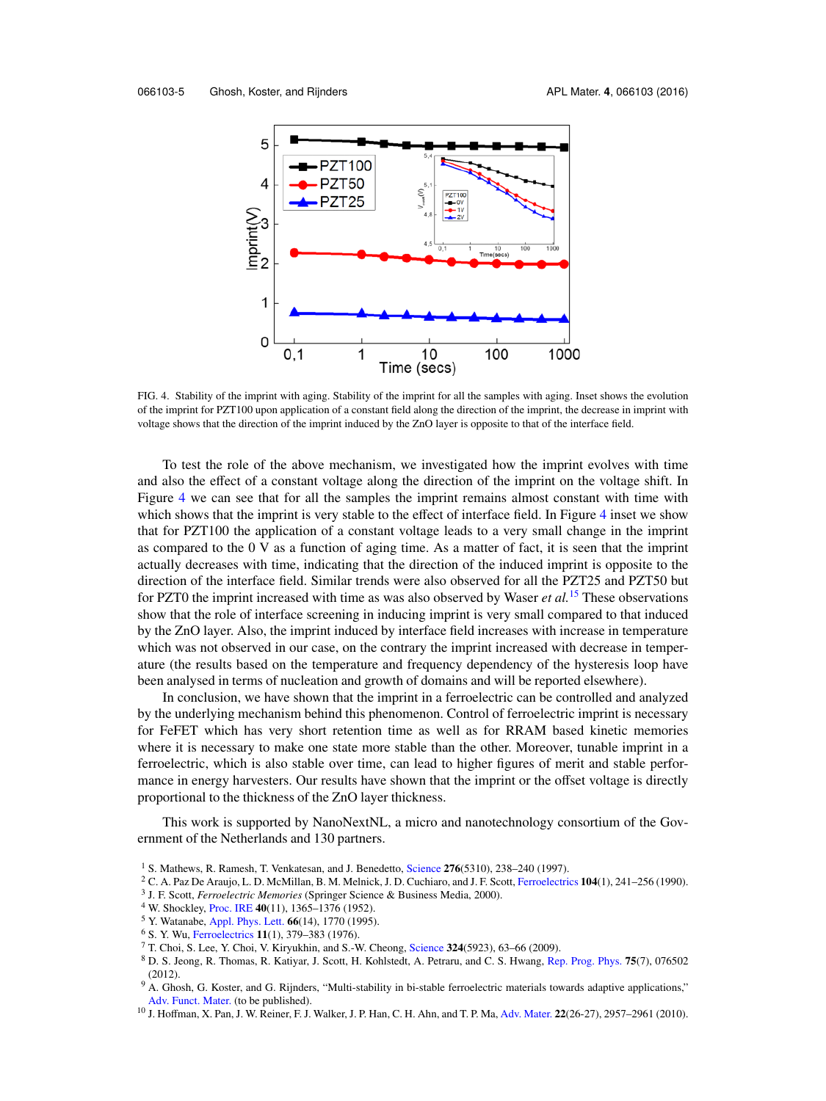

FIG. 4. Stability of the imprint with aging. Stability of the imprint for all the samples with aging. Inset shows the evolution of the imprint for PZT100 upon application of a constant field along the direction of the imprint, the decrease in imprint with voltage shows that the direction of the imprint induced by the ZnO layer is opposite to that of the interface field.

To test the role of the above mechanism, we investigated how the imprint evolves with time and also the effect of a constant voltage along the direction of the imprint on the voltage shift. In Figure 4 we can see that for all the samples the imprint remains almost constant with time with which shows that the imprint is very stable to the effect of interface field. In Figure 4 inset we show that for PZT100 the application of a constant voltage leads to a very small change in the imprint as compared to the 0 V as a function of aging time. As a matter of fact, it is seen that the imprint actually decreases with time, indicating that the direction of the induced imprint is opposite to the direction of the interface field. Similar trends were also observed for all the PZT25 and PZT50 but for PZT0 the imprint increased with time as was also observed by Waser *et al.*<sup>15</sup> These observations show that the role of interface screening in inducing imprint is very small compared to that induced by the ZnO layer. Also, the imprint induced by interface field increases with increase in temperature which was not observed in our case, on the contrary the imprint increased with decrease in temperature (the results based on the temperature and frequency dependency of the hysteresis loop have been analysed in terms of nucleation and growth of domains and will be reported elsewhere).

In conclusion, we have shown that the imprint in a ferroelectric can be controlled and analyzed by the underlying mechanism behind this phenomenon. Control of ferroelectric imprint is necessary for FeFET which has very short retention time as well as for RRAM based kinetic memories where it is necessary to make one state more stable than the other. Moreover, tunable imprint in a ferroelectric, which is also stable over time, can lead to higher figures of merit and stable performance in energy harvesters. Our results have shown that the imprint or the offset voltage is directly proportional to the thickness of the ZnO layer thickness.

This work is supported by NanoNextNL, a micro and nanotechnology consortium of the Government of the Netherlands and 130 partners.

<sup>2</sup> C. A. Paz De Araujo, L. D. McMillan, B. M. Melnick, J. D. Cuchiaro, and J. F. Scott, Ferroelectrics 104(1), 241–256 (1990).

<sup>&</sup>lt;sup>1</sup> S. Mathews, R. Ramesh, T. Venkatesan, and J. Benedetto, *Science* 276(5310), 238–240 (1997).

<sup>3</sup> J. F. Scott, *Ferroelectric Memories* (Springer Science & Business Media, 2000).

<sup>4</sup> W. Shockley, Proc. IRE 40(11), 1365–1376 (1952).

<sup>5</sup> Y. Watanabe, Appl. Phys. Lett. 66(14), 1770 (1995).

<sup>6</sup> S. Y. Wu, Ferroelectrics 11(1), 379–383 (1976).

<sup>7</sup> T. Choi, S. Lee, Y. Choi, V. Kiryukhin, and S.-W. Cheong, Science 324(5923), 63–66 (2009).

<sup>8</sup> D. S. Jeong, R. Thomas, R. Katiyar, J. Scott, H. Kohlstedt, A. Petraru, and C. S. Hwang, Rep. Prog. Phys. 75(7), 076502 (2012).

<sup>&</sup>lt;sup>9</sup> A. Ghosh, G. Koster, and G. Rijnders, "Multi-stability in bi-stable ferroelectric materials towards adaptive applications," Adv. Funct. Mater. (to be published).

<sup>10</sup> J. Hoffman, X. Pan, J. W. Reiner, F. J. Walker, J. P. Han, C. H. Ahn, and T. P. Ma, Adv. Mater. 22(26-27), 2957–2961 (2010).